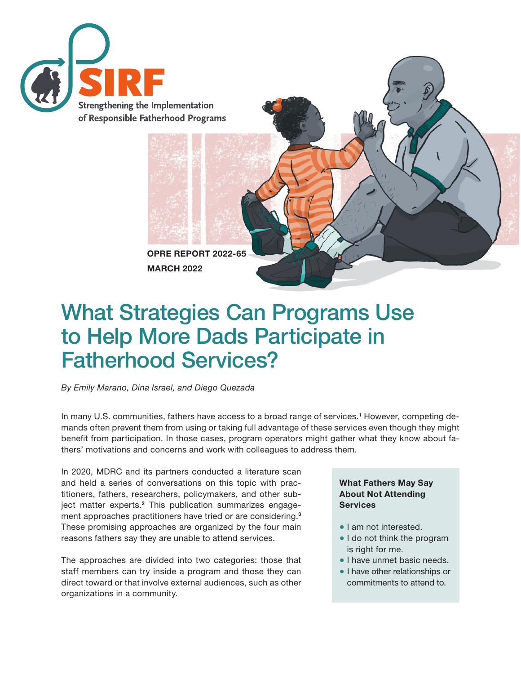

OPRE REPORT 2022-65 MARCH 2022

# What Strategies Can Programs Use to Help More Dads Participate in Fatherhood Services?

*By Emily Marano, Dina Israel, and Diego Quezada*

In many U.S. communities, fathers have access to a broad range of services.<sup>1</sup> However, competing demands often prevent them from using or taking full advantage of these services even though they might benefit from participation. In those cases, program operators might gather what they know about fathers' motivations and concerns and work with colleagues to address them.

In 2020, MDRC and its partners conducted a literature scan and held a series of conversations on this topic with practitioners, fathers, researchers, policymakers, and other subject matter experts.<sup>2</sup> This publication summarizes engagement approaches practitioners have tried or are considering.<sup>3</sup> These promising approaches are organized by the four main reasons fathers say they are unable to attend services.

The approaches are divided into two categories: those that staff members can try inside a program and those they can direct toward or that involve external audiences, such as other organizations in a community.

#### What Fathers May Say About Not Attending **Services**

- I am not interested.
- I do not think the program is right for me.
- I have unmet basic needs.
- I have other relationships or commitments to attend to.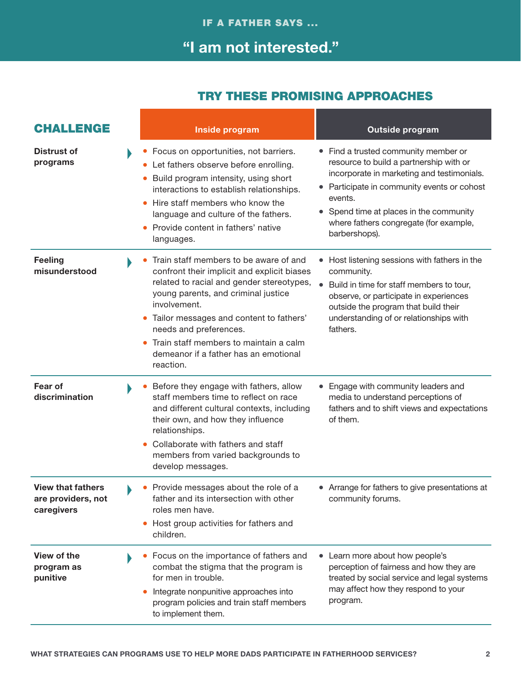## "I am not interested."

| <b>CHALLENGE</b>                                             | Inside program                                                                                                                                                                                                                                                                                                                                                 |           | <b>Outside program</b>                                                                                                                                                                                                                                                                      |
|--------------------------------------------------------------|----------------------------------------------------------------------------------------------------------------------------------------------------------------------------------------------------------------------------------------------------------------------------------------------------------------------------------------------------------------|-----------|---------------------------------------------------------------------------------------------------------------------------------------------------------------------------------------------------------------------------------------------------------------------------------------------|
| <b>Distrust of</b><br>programs                               | Focus on opportunities, not barriers.<br>Let fathers observe before enrolling.<br>Build program intensity, using short<br>$\bullet$<br>interactions to establish relationships.<br>Hire staff members who know the<br>language and culture of the fathers.<br>Provide content in fathers' native<br>languages.                                                 |           | • Find a trusted community member or<br>resource to build a partnership with or<br>incorporate in marketing and testimonials.<br>• Participate in community events or cohost<br>events.<br>Spend time at places in the community<br>where fathers congregate (for example,<br>barbershops). |
| <b>Feeling</b><br>misunderstood                              | Train staff members to be aware of and<br>confront their implicit and explicit biases<br>related to racial and gender stereotypes,<br>young parents, and criminal justice<br>involvement.<br>Tailor messages and content to fathers'<br>needs and preferences.<br>Train staff members to maintain a calm<br>demeanor if a father has an emotional<br>reaction. | $\bullet$ | Host listening sessions with fathers in the<br>community.<br>Build in time for staff members to tour,<br>observe, or participate in experiences<br>outside the program that build their<br>understanding of or relationships with<br>fathers.                                               |
| Fear of<br>discrimination                                    | Before they engage with fathers, allow<br>staff members time to reflect on race<br>and different cultural contexts, including<br>their own, and how they influence<br>relationships.<br>Collaborate with fathers and staff<br>members from varied backgrounds to<br>develop messages.                                                                          |           | Engage with community leaders and<br>media to understand perceptions of<br>fathers and to shift views and expectations<br>of them.                                                                                                                                                          |
| <b>View that fathers</b><br>are providers, not<br>caregivers | Provide messages about the role of a<br>father and its intersection with other<br>roles men have.<br>Host group activities for fathers and<br>$\bullet$<br>children.                                                                                                                                                                                           |           | • Arrange for fathers to give presentations at<br>community forums.                                                                                                                                                                                                                         |
| <b>View of the</b><br>program as<br>punitive                 | Focus on the importance of fathers and<br>combat the stigma that the program is<br>for men in trouble.<br>Integrate nonpunitive approaches into<br>program policies and train staff members<br>to implement them.                                                                                                                                              |           | • Learn more about how people's<br>perception of fairness and how they are<br>treated by social service and legal systems<br>may affect how they respond to your<br>program.                                                                                                                |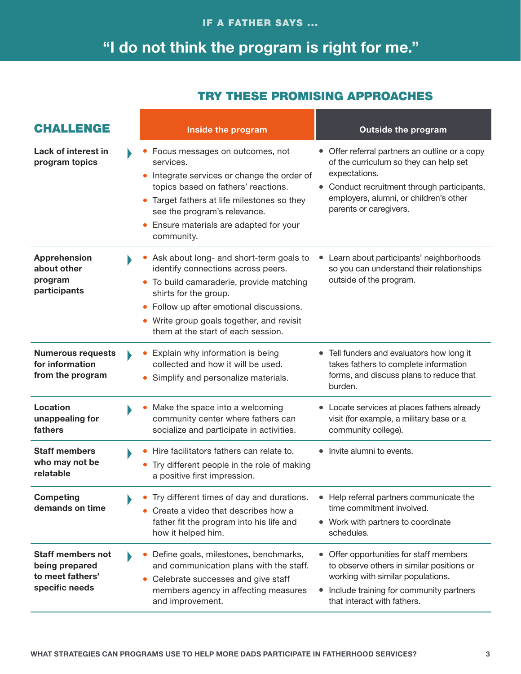# "I do not think the program is right for me."

| <b>CHALLENGE</b>                                                                 | Inside the program                                                                                                                                                                                                                                                          | <b>Outside the program</b>                                                                                                                                                                                                   |
|----------------------------------------------------------------------------------|-----------------------------------------------------------------------------------------------------------------------------------------------------------------------------------------------------------------------------------------------------------------------------|------------------------------------------------------------------------------------------------------------------------------------------------------------------------------------------------------------------------------|
| Lack of interest in<br>program topics                                            | Focus messages on outcomes, not<br>services.<br>Integrate services or change the order of<br>topics based on fathers' reactions.<br>Target fathers at life milestones so they<br>see the program's relevance.<br>Ensure materials are adapted for your<br>community.        | • Offer referral partners an outline or a copy<br>of the curriculum so they can help set<br>expectations.<br>• Conduct recruitment through participants,<br>employers, alumni, or children's other<br>parents or caregivers. |
| <b>Apprehension</b><br>about other<br>program<br>participants                    | Ask about long- and short-term goals to<br>identify connections across peers.<br>To build camaraderie, provide matching<br>shirts for the group.<br>Follow up after emotional discussions.<br>Write group goals together, and revisit<br>them at the start of each session. | Learn about participants' neighborhoods<br>so you can understand their relationships<br>outside of the program.                                                                                                              |
| <b>Numerous requests</b><br>for information<br>from the program                  | Explain why information is being<br>collected and how it will be used.<br>Simplify and personalize materials.                                                                                                                                                               | • Tell funders and evaluators how long it<br>takes fathers to complete information<br>forms, and discuss plans to reduce that<br>burden.                                                                                     |
| <b>Location</b><br>unappealing for<br>fathers                                    | Make the space into a welcoming<br>community center where fathers can<br>socialize and participate in activities.                                                                                                                                                           | • Locate services at places fathers already<br>visit (for example, a military base or a<br>community college).                                                                                                               |
| <b>Staff members</b><br>who may not be<br>relatable                              | Hire facilitators fathers can relate to.<br>Try different people in the role of making<br>a positive first impression.                                                                                                                                                      | • Invite alumni to events.                                                                                                                                                                                                   |
| <b>Competing</b><br>demands on time                                              | Try different times of day and durations.<br>Create a video that describes how a<br>father fit the program into his life and<br>how it helped him.                                                                                                                          | Help referral partners communicate the<br>time commitment involved.<br>• Work with partners to coordinate<br>schedules.                                                                                                      |
| <b>Staff members not</b><br>being prepared<br>to meet fathers'<br>specific needs | Define goals, milestones, benchmarks,<br>and communication plans with the staff.<br>Celebrate successes and give staff<br>members agency in affecting measures<br>and improvement.                                                                                          | Offer opportunities for staff members<br>to observe others in similar positions or<br>working with similar populations.<br>Include training for community partners<br>that interact with fathers.                            |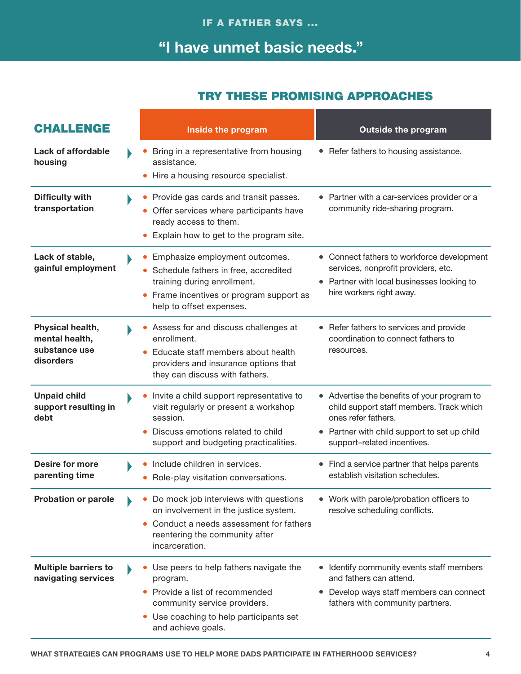## "I have unmet basic needs."

| <b>CHALLENGE</b>                                                 | Inside the program                                                                                                                                                                                     | <b>Outside the program</b>                                                                                                                                                                    |
|------------------------------------------------------------------|--------------------------------------------------------------------------------------------------------------------------------------------------------------------------------------------------------|-----------------------------------------------------------------------------------------------------------------------------------------------------------------------------------------------|
| Lack of affordable<br>housing                                    | Bring in a representative from housing<br>assistance.<br>Hire a housing resource specialist.                                                                                                           | • Refer fathers to housing assistance.                                                                                                                                                        |
| <b>Difficulty with</b><br>transportation                         | Provide gas cards and transit passes.<br>Offer services where participants have<br>ready access to them.<br>Explain how to get to the program site.                                                    | • Partner with a car-services provider or a<br>community ride-sharing program.                                                                                                                |
| Lack of stable,<br>gainful employment                            | Emphasize employment outcomes.<br>Schedule fathers in free, accredited<br>training during enrollment.<br>Frame incentives or program support as<br>help to offset expenses.                            | • Connect fathers to workforce development<br>services, nonprofit providers, etc.<br>• Partner with local businesses looking to<br>hire workers right away.                                   |
| Physical health,<br>mental health,<br>substance use<br>disorders | Assess for and discuss challenges at<br>enrollment.<br>Educate staff members about health<br>providers and insurance options that<br>they can discuss with fathers.                                    | • Refer fathers to services and provide<br>coordination to connect fathers to<br>resources.                                                                                                   |
| <b>Unpaid child</b><br>support resulting in<br>debt              | Invite a child support representative to<br>visit regularly or present a workshop<br>session.<br>Discuss emotions related to child<br>support and budgeting practicalities.                            | • Advertise the benefits of your program to<br>child support staff members. Track which<br>ones refer fathers.<br>• Partner with child support to set up child<br>support-related incentives. |
| <b>Desire for more</b><br>parenting time                         | Include children in services.<br>Role-play visitation conversations.                                                                                                                                   | • Find a service partner that helps parents<br>establish visitation schedules.                                                                                                                |
| <b>Probation or parole</b>                                       | Do mock job interviews with questions<br>$\bullet$<br>on involvement in the justice system.<br>Conduct a needs assessment for fathers<br>$\bullet$<br>reentering the community after<br>incarceration. | • Work with parole/probation officers to<br>resolve scheduling conflicts.                                                                                                                     |
| <b>Multiple barriers to</b><br>navigating services               | Use peers to help fathers navigate the<br>program.<br>Provide a list of recommended<br>community service providers.<br>Use coaching to help participants set<br>$\bullet$<br>and achieve goals.        | • Identify community events staff members<br>and fathers can attend.<br>• Develop ways staff members can connect<br>fathers with community partners.                                          |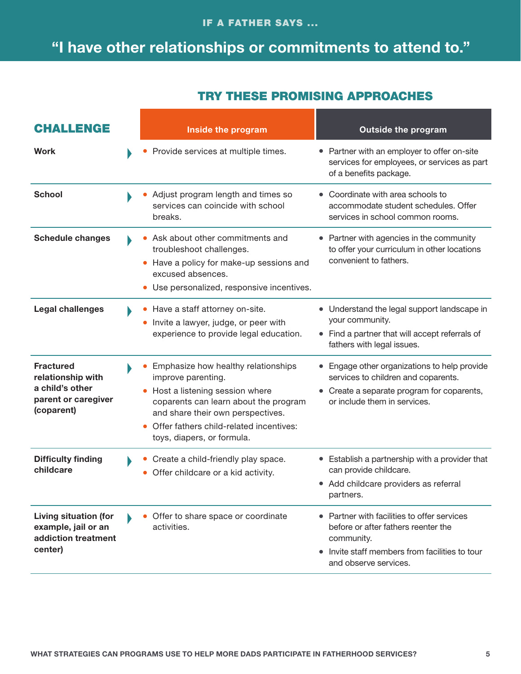#### IF A FATHER SAYS ...

## "I have other relationships or commitments to attend to."

| <b>CHALLENGE</b>                                                                              | Inside the program                                                                                                                                                                                                                                              | <b>Outside the program</b>                                                                                                                                                  |
|-----------------------------------------------------------------------------------------------|-----------------------------------------------------------------------------------------------------------------------------------------------------------------------------------------------------------------------------------------------------------------|-----------------------------------------------------------------------------------------------------------------------------------------------------------------------------|
| <b>Work</b>                                                                                   | Provide services at multiple times.                                                                                                                                                                                                                             | Partner with an employer to offer on-site<br>services for employees, or services as part<br>of a benefits package.                                                          |
| <b>School</b>                                                                                 | Adjust program length and times so<br>services can coincide with school<br>breaks.                                                                                                                                                                              | Coordinate with area schools to<br>accommodate student schedules. Offer<br>services in school common rooms.                                                                 |
| <b>Schedule changes</b>                                                                       | Ask about other commitments and<br>troubleshoot challenges.<br>Have a policy for make-up sessions and<br>excused absences.<br>Use personalized, responsive incentives.                                                                                          | Partner with agencies in the community<br>to offer your curriculum in other locations<br>convenient to fathers.                                                             |
| <b>Legal challenges</b>                                                                       | Have a staff attorney on-site.<br>Invite a lawyer, judge, or peer with<br>experience to provide legal education.                                                                                                                                                | Understand the legal support landscape in<br>your community.<br>• Find a partner that will accept referrals of<br>fathers with legal issues.                                |
| <b>Fractured</b><br>relationship with<br>a child's other<br>parent or caregiver<br>(coparent) | Emphasize how healthy relationships<br>improve parenting.<br>Host a listening session where<br>$\bullet$<br>coparents can learn about the program<br>and share their own perspectives.<br>Offer fathers child-related incentives:<br>toys, diapers, or formula. | Engage other organizations to help provide<br>services to children and coparents.<br>Create a separate program for coparents,<br>or include them in services.               |
| <b>Difficulty finding</b><br>childcare                                                        | Create a child-friendly play space.<br>Offer childcare or a kid activity.                                                                                                                                                                                       | Establish a partnership with a provider that<br>$\bullet$<br>can provide childcare.<br>• Add childcare providers as referral<br>partners.                                   |
| <b>Living situation (for</b><br>example, jail or an<br>addiction treatment<br>center)         | Offer to share space or coordinate<br>activities.                                                                                                                                                                                                               | • Partner with facilities to offer services<br>before or after fathers reenter the<br>community.<br>• Invite staff members from facilities to tour<br>and observe services. |